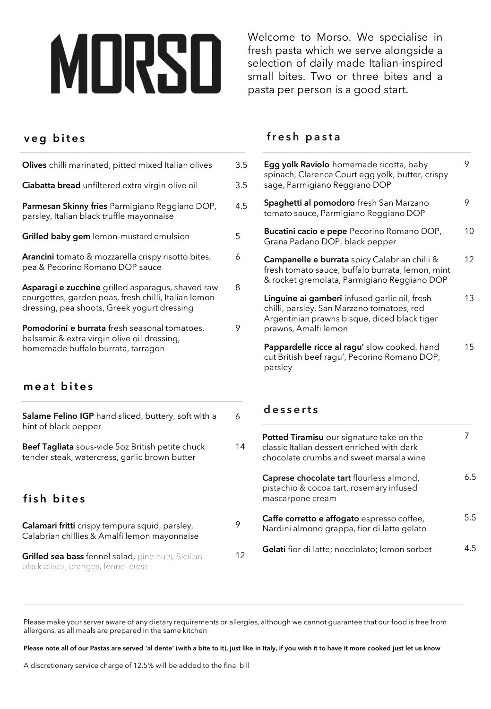# MORSO

Welcome to Morso. We specialise in fresh pasta which we serve alongside a selection of daily made Italian-inspired small bites. Two or three bites and a pasta per person is a good start.

# **v e g b i t e s**

| Olives chilli marinated, pitted mixed Italian olives                                                                                                     | 3.5 |
|----------------------------------------------------------------------------------------------------------------------------------------------------------|-----|
| Ciabatta bread unfiltered extra virgin olive oil                                                                                                         | 3.5 |
| Parmesan Skinny fries Parmigiano Reggiano DOP,<br>parsley, Italian black truffle mayonnaise                                                              | 4.5 |
| Grilled baby gem lemon-mustard emulsion                                                                                                                  | 5   |
| Arancini tomato & mozzarella crispy risotto bites,<br>pea & Pecorino Romano DOP sauce                                                                    | 6   |
| Asparagi e zucchine grilled asparagus, shaved raw<br>courgettes, garden peas, fresh chilli, Italian lemon<br>dressing, pea shoots, Greek yogurt dressing | 8   |
| Pomodorini e burrata fresh seasonal tomatoes,<br>balsamic & extra virgin olive oil dressing,<br>homemade buffalo burrata, tarragon                       | 9   |
| meat bites                                                                                                                                               |     |
| Salame Felino IGP hand sliced, buttery, soft with a<br>hint of black pepper                                                                              | 6   |
| Beef Tagliata sous-vide 5oz British petite chuck<br>tender steak, watercress, garlic brown butter                                                        | 14  |
| fish bites                                                                                                                                               |     |
| Calamari fritti crispy tempura squid, parsley,<br>Calabrian chillies & Amalfi lemon mayonnaise                                                           | 9   |

**Grilled sea bass** fennel salad, pine nuts, Sicilian black olives, oranges, fennel cress

### **f r e s h p a s t a**

| 5 | <b>Egg yolk Raviolo</b> homemade ricotta, baby<br>spinach, Clarence Court egg yolk, butter, crispy<br>sage, Parmigiano Reggiano DOP                                 | 9  |
|---|---------------------------------------------------------------------------------------------------------------------------------------------------------------------|----|
| 5 | <b>Spaghetti al pomodoro</b> fresh San Marzano<br>tomato sauce, Parmigiano Reggiano DOP                                                                             | 9  |
|   | <b>Bucatini cacio e pepe</b> Pecorino Romano DOP,<br>Grana Padano DOP, black pepper                                                                                 | 10 |
|   | Campanelle e burrata spicy Calabrian chilli &<br>fresh tomato sauce, buffalo burrata, lemon, mint<br>& rocket gremolata, Parmigiano Reggiano DOP                    | 12 |
|   | Linguine ai gamberi infused garlic oil, fresh<br>chilli, parsley, San Marzano tomatoes, red<br>Argentinian prawns bisque, diced black tiger<br>prawns, Amalfi lemon | 13 |
|   | Pappardelle ricce al ragu' slow cooked, hand<br>cut British beef ragu', Pecorino Romano DOP,<br>parsley                                                             | 15 |

#### **d e s s e r t s**

| 14 | <b>Potted Tiramisu</b> our signature take on the<br>classic Italian dessert enriched with dark<br>chocolate crumbs and sweet marsala wine |     |
|----|-------------------------------------------------------------------------------------------------------------------------------------------|-----|
|    | <b>Caprese chocolate tart flourless almond,</b><br>pistachio & cocoa tart, rosemary infused<br>mascarpone cream                           | 6.5 |
| 9  | Caffe corretto e affogato espresso coffee,<br>Nardini almond grappa, fior di latte gelato                                                 | 5.5 |
| 12 | <b>Gelati</b> fior di latte; nocciolato; lemon sorbet                                                                                     | 45  |

Please make your server aware of any dietary requirements or allergies, although we cannot guarantee that our food is free from allergens, as all meals are prepared in the same kitchen

**Please note all of our Pastas are served 'al dente' (with a bite to it), just like in Italy, if you wish it to have it more cooked just let us know**